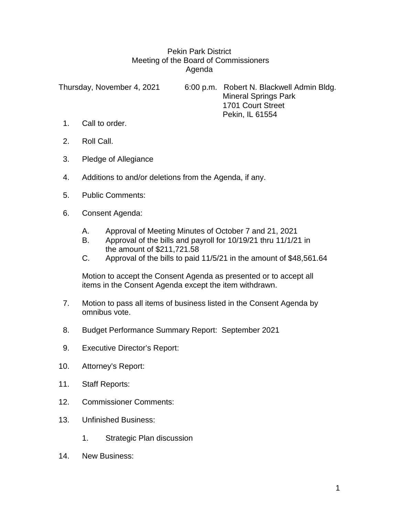## Pekin Park District Meeting of the Board of Commissioners Agenda

Thursday, November 4, 2021 6:00 p.m. Robert N. Blackwell Admin Bldg. Mineral Springs Park 1701 Court Street Pekin, IL 61554

- 1. Call to order.
- 2. Roll Call.
- 3. Pledge of Allegiance
- 4. Additions to and/or deletions from the Agenda, if any.
- 5. Public Comments:
- 6. Consent Agenda:
	- A. Approval of Meeting Minutes of October 7 and 21, 2021
	- B. Approval of the bills and payroll for 10/19/21 thru 11/1/21 in the amount of \$211,721.58
	- C. Approval of the bills to paid 11/5/21 in the amount of \$48,561.64

Motion to accept the Consent Agenda as presented or to accept all items in the Consent Agenda except the item withdrawn.

- 7. Motion to pass all items of business listed in the Consent Agenda by omnibus vote.
- 8. Budget Performance Summary Report: September 2021
- 9. Executive Director's Report:
- 10. Attorney's Report:
- 11. Staff Reports:
- 12. Commissioner Comments:
- 13. Unfinished Business:
	- 1. Strategic Plan discussion
- 14. New Business: